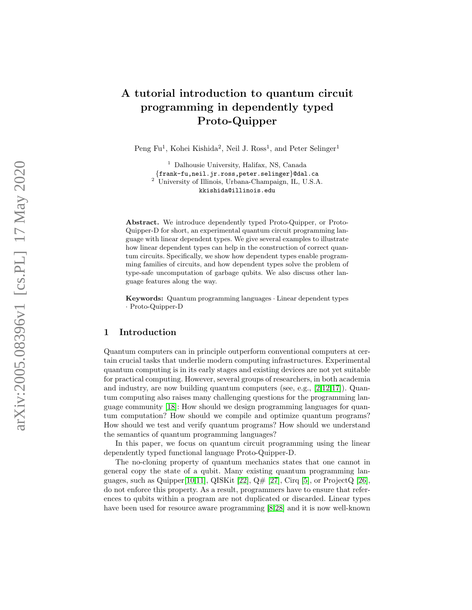# A tutorial introduction to quantum circuit programming in dependently typed Proto-Quipper

Peng Fu<sup>1</sup>, Kohei Kishida<sup>2</sup>, Neil J. Ross<sup>1</sup>, and Peter Selinger<sup>1</sup>

<sup>1</sup> Dalhousie University, Halifax, NS, Canada {frank-fu,neil.jr.ross,peter.selinger }@dal.ca <sup>2</sup> University of Illinois, Urbana-Champaign, IL, U.S.A. kkishida@illinois.edu

Abstract. We introduce dependently typed Proto-Quipper, or Proto-Quipper-D for short, an experimental quantum circuit programming language with linear dependent types. We give several examples to illustrate how linear dependent types can help in the construction of correct quantum circuits. Specifically, we show how dependent types enable programming families of circuits, and how dependent types solve the problem of type-safe uncomputation of garbage qubits. We also discuss other language features along the way.

Keywords: Quantum programming languages · Linear dependent types · Proto-Quipper-D

## 1 Introduction

Quantum computers can in principle outperform conventional computers at certain crucial tasks that underlie modern computing infrastructures. Experimental quantum computing is in its early stages and existing devices are not yet suitable for practical computing. However, several groups of researchers, in both academia and industry, are now building quantum computers (see, e.g., [\[2,](#page-14-0)[12,](#page-15-0)[17\]](#page-15-1)). Quantum computing also raises many challenging questions for the programming language community [\[18\]](#page-15-2): How should we design programming languages for quantum computation? How should we compile and optimize quantum programs? How should we test and verify quantum programs? How should we understand the semantics of quantum programming languages?

In this paper, we focus on quantum circuit programming using the linear dependently typed functional language Proto-Quipper-D.

The no-cloning property of quantum mechanics states that one cannot in general copy the state of a qubit. Many existing quantum programming lan-guages, such as Quipper[\[10,](#page-15-3)[11\]](#page-15-4), QISKit [\[22\]](#page-15-5),  $Q#$  [\[27\]](#page-16-0), Cirq [\[5\]](#page-15-6), or ProjectQ [\[26\]](#page-16-1), do not enforce this property. As a result, programmers have to ensure that references to qubits within a program are not duplicated or discarded. Linear types have been used for resource aware programming [\[8,](#page-15-7)[28\]](#page-16-2) and it is now well-known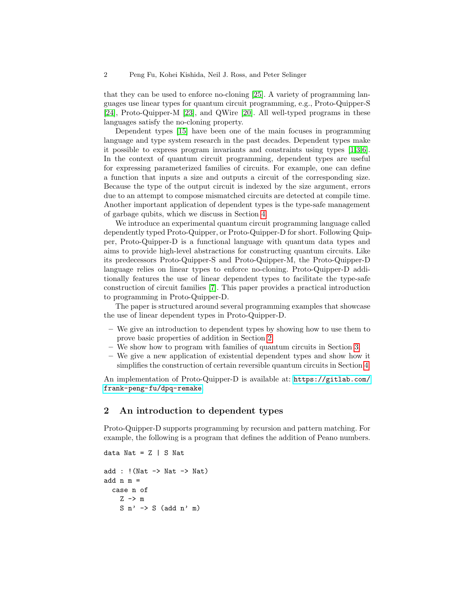that they can be used to enforce no-cloning [\[25\]](#page-16-3). A variety of programming languages use linear types for quantum circuit programming, e.g., Proto-Quipper-S [\[24\]](#page-15-8), Proto-Quipper-M [\[23\]](#page-15-9), and QWire [\[20\]](#page-15-10). All well-typed programs in these languages satisfy the no-cloning property.

Dependent types [\[15\]](#page-15-11) have been one of the main focuses in programming language and type system research in the past decades. Dependent types make it possible to express program invariants and constraints using types [\[1,](#page-14-1)[3,](#page-15-12)[6\]](#page-15-13). In the context of quantum circuit programming, dependent types are useful for expressing parameterized families of circuits. For example, one can define a function that inputs a size and outputs a circuit of the corresponding size. Because the type of the output circuit is indexed by the size argument, errors due to an attempt to compose mismatched circuits are detected at compile time. Another important application of dependent types is the type-safe management of garbage qubits, which we discuss in Section [4.](#page-10-0)

We introduce an experimental quantum circuit programming language called dependently typed Proto-Quipper, or Proto-Quipper-D for short. Following Quipper, Proto-Quipper-D is a functional language with quantum data types and aims to provide high-level abstractions for constructing quantum circuits. Like its predecessors Proto-Quipper-S and Proto-Quipper-M, the Proto-Quipper-D language relies on linear types to enforce no-cloning. Proto-Quipper-D additionally features the use of linear dependent types to facilitate the type-safe construction of circuit families [\[7\]](#page-15-14). This paper provides a practical introduction to programming in Proto-Quipper-D.

The paper is structured around several programming examples that showcase the use of linear dependent types in Proto-Quipper-D.

- We give an introduction to dependent types by showing how to use them to prove basic properties of addition in Section [2.](#page-1-0)
- We show how to program with families of quantum circuits in Section [3.](#page-3-0)
- We give a new application of existential dependent types and show how it simplifies the construction of certain reversible quantum circuits in Section [4.](#page-10-0)

An implementation of Proto-Quipper-D is available at: [https://gitlab.com/](https://gitlab.com/frank-peng-fu/dpq-remake) [frank-peng-fu/dpq-remake](https://gitlab.com/frank-peng-fu/dpq-remake).

# <span id="page-1-0"></span>2 An introduction to dependent types

Proto-Quipper-D supports programming by recursion and pattern matching. For example, the following is a program that defines the addition of Peano numbers.

```
data Nat = Z | S Nat
add : !(Nat \rightarrow Nat \rightarrow Nat)add n m =
   case n of
      Z \rightarrow mS \nightharpoonup -> S (add n' \nightharpoonup m)
```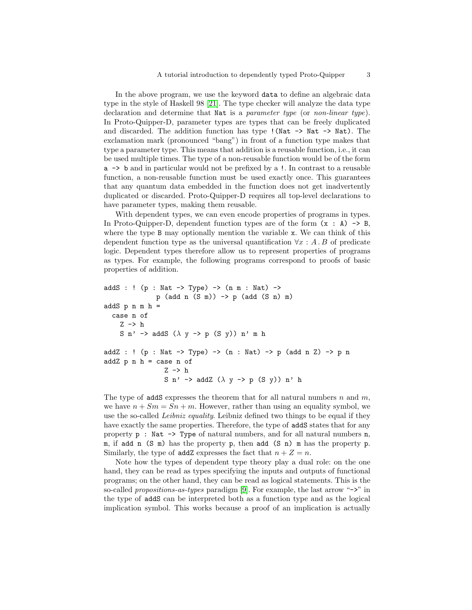In the above program, we use the keyword data to define an algebraic data type in the style of Haskell 98 [\[21\]](#page-15-15). The type checker will analyze the data type declaration and determine that Nat is a *parameter type* (or *non-linear type*). In Proto-Quipper-D, parameter types are types that can be freely duplicated and discarded. The addition function has type !(Nat -> Nat -> Nat). The exclamation mark (pronounced "bang") in front of a function type makes that type a parameter type. This means that addition is a reusable function, i.e., it can be used multiple times. The type of a non-reusable function would be of the form a -> b and in particular would not be prefixed by a !. In contrast to a reusable function, a non-reusable function must be used exactly once. This guarantees that any quantum data embedded in the function does not get inadvertently duplicated or discarded. Proto-Quipper-D requires all top-level declarations to have parameter types, making them reusable.

With dependent types, we can even encode properties of programs in types. In Proto-Quipper-D, dependent function types are of the form  $(x : A) \rightarrow B$ , where the type B may optionally mention the variable x. We can think of this dependent function type as the universal quantification  $\forall x : A \cdot B$  of predicate logic. Dependent types therefore allow us to represent properties of programs as types. For example, the following programs correspond to proofs of basic properties of addition.

```
addS : ! (p : Nat \rightarrow Type) \rightarrow (n m : Nat) \rightarrowp (add n (S m)) -> p (add (S n) m)
addS p n m h =
  case n of
    Z -> h
    S n' -> addS (\lambda y -> p (S y)) n' m h
addZ : ! (p : Nat -> Type) -> (n : Nat) -> p (add n Z) -> p n
addZ p n h = case n of
                 Z -> h
                 S n' -> addZ (\lambda y -> p (S y)) n' h
```
The type of addS expresses the theorem that for all natural numbers  $n$  and  $m$ , we have  $n + Sm = Sn + m$ . However, rather than using an equality symbol, we use the so-called *Leibniz equality*. Leibniz defined two things to be equal if they have exactly the same properties. Therefore, the type of **addS** states that for any property  $p : Nat \rightarrow Type$  of natural numbers, and for all natural numbers n, m, if add n (S m) has the property p, then add (S n) m has the property p. Similarly, the type of addZ expresses the fact that  $n + Z = n$ .

Note how the types of dependent type theory play a dual role: on the one hand, they can be read as types specifying the inputs and outputs of functional programs; on the other hand, they can be read as logical statements. This is the so-called *propositions-as-types* paradigm [\[9\]](#page-15-16). For example, the last arrow " $\rightarrow$ " in the type of addS can be interpreted both as a function type and as the logical implication symbol. This works because a proof of an implication is actually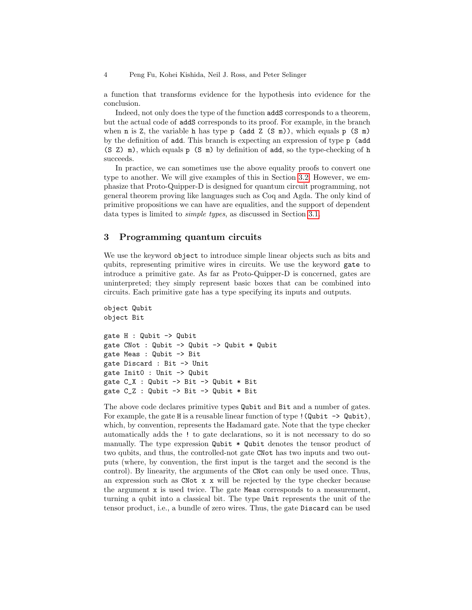a function that transforms evidence for the hypothesis into evidence for the conclusion.

Indeed, not only does the type of the function addS corresponds to a theorem, but the actual code of addS corresponds to its proof. For example, in the branch when  $n$  is  $Z$ , the variable  $h$  has type  $p$  (add  $Z$  ( $S$  m)), which equals  $p$  ( $S$  m) by the definition of add. This branch is expecting an expression of type p (add  $(S Z)$  m), which equals p  $(S m)$  by definition of add, so the type-checking of h succeeds.

In practice, we can sometimes use the above equality proofs to convert one type to another. We will give examples of this in Section [3.2.](#page-6-0) However, we emphasize that Proto-Quipper-D is designed for quantum circuit programming, not general theorem proving like languages such as Coq and Agda. The only kind of primitive propositions we can have are equalities, and the support of dependent data types is limited to simple types, as discussed in Section [3.1.](#page-5-0)

# <span id="page-3-0"></span>3 Programming quantum circuits

We use the keyword object to introduce simple linear objects such as bits and qubits, representing primitive wires in circuits. We use the keyword gate to introduce a primitive gate. As far as Proto-Quipper-D is concerned, gates are uninterpreted; they simply represent basic boxes that can be combined into circuits. Each primitive gate has a type specifying its inputs and outputs.

```
object Qubit
object Bit
gate H : Qubit -> Qubit
gate CNot : Qubit -> Qubit -> Qubit * Qubit
gate Meas : Qubit -> Bit
gate Discard : Bit -> Unit
gate Init0 : Unit -> Qubit
gate C_X : Qubit -> Bit -> Qubit * Bit
gate C_Z : Qubit -> Bit -> Qubit * Bit
```
The above code declares primitive types Qubit and Bit and a number of gates. For example, the gate H is a reusable linear function of type  $!(\text{Qubit} \rightarrow \text{Qubit})$ , which, by convention, represents the Hadamard gate. Note that the type checker automatically adds the ! to gate declarations, so it is not necessary to do so manually. The type expression Qubit \* Qubit denotes the tensor product of two qubits, and thus, the controlled-not gate CNot has two inputs and two outputs (where, by convention, the first input is the target and the second is the control). By linearity, the arguments of the CNot can only be used once. Thus, an expression such as CNot x x will be rejected by the type checker because the argument x is used twice. The gate Meas corresponds to a measurement, turning a qubit into a classical bit. The type Unit represents the unit of the tensor product, i.e., a bundle of zero wires. Thus, the gate Discard can be used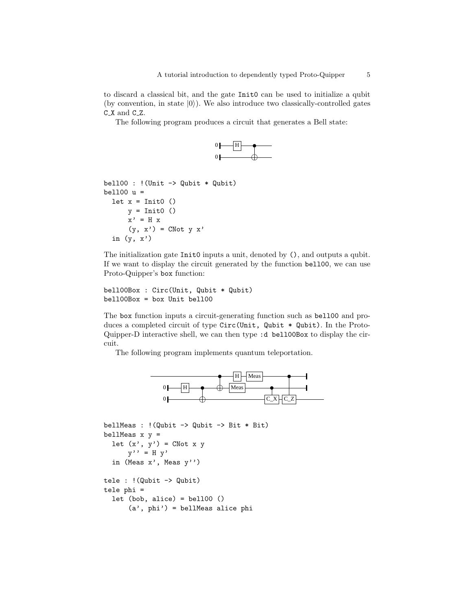to discard a classical bit, and the gate Init0 can be used to initialize a qubit (by convention, in state  $|0\rangle$ ). We also introduce two classically-controlled gates C<sub>\_</sub>X and C<sub>\_</sub>Z.

The following program produces a circuit that generates a Bell state:



```
bell00 : !(Unit -> Qubit * Qubit)bell00 u =
  let x = Int0 ()
      y = Init0()\mathtt{x'} = H \mathtt{x}(y, x') = CNot y x'in (y, x')
```
The initialization gate Init0 inputs a unit, denoted by  $($ ), and outputs a qubit. If we want to display the circuit generated by the function bell00, we can use Proto-Quipper's box function:

```
bell00Box : Circ(Unit, Qubit * Qubit)
bell00Box = box Unit bell00
```
The box function inputs a circuit-generating function such as bell00 and produces a completed circuit of type Circ(Unit, Qubit \* Qubit). In the Proto-Quipper-D interactive shell, we can then type :d bell00Box to display the circuit.

The following program implements quantum teleportation.



```
bellMeas : !(Qubit -> Qubit -> Bit * Bit)
bellMeas x y =
 let (x', y') = CNot x y
     y' = H y'in (Meas x', Meas y'')
tele : !(Qubit -> Qubit)
tele phi =
 let (bob, alice) = bell00 ()
      (a', phi') = bellMeas alice phi
```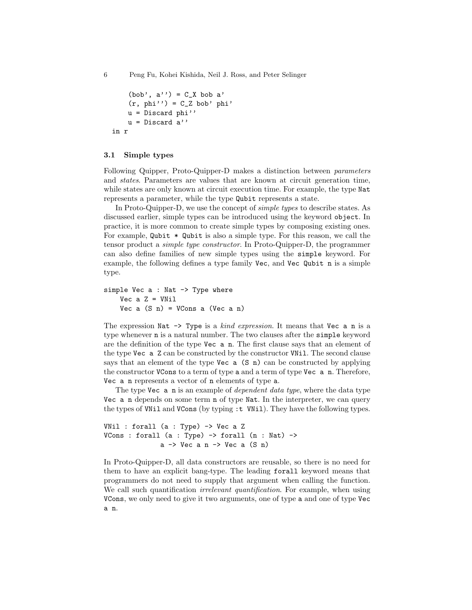```
(bob', a'') = C_X bob a'(r, phi'') = C_Z bob' phi'u = Discard phi''
   u =Discard a''
in r
```
### <span id="page-5-0"></span>3.1 Simple types

Following Quipper, Proto-Quipper-D makes a distinction between parameters and states. Parameters are values that are known at circuit generation time, while states are only known at circuit execution time. For example, the type Nat represents a parameter, while the type Qubit represents a state.

In Proto-Quipper-D, we use the concept of *simple types* to describe states. As discussed earlier, simple types can be introduced using the keyword object. In practice, it is more common to create simple types by composing existing ones. For example, Qubit \* Qubit is also a simple type. For this reason, we call the tensor product a simple type constructor. In Proto-Quipper-D, the programmer can also define families of new simple types using the simple keyword. For example, the following defines a type family Vec, and Vec Qubit n is a simple type.

```
simple Vec a : Nat -> Type where
   Vec a Z = VMi1Vec a(S_n) = VCons a (Vec a_n)
```
The expression Nat  $\rightarrow$  Type is a kind expression. It means that Vec a n is a type whenever n is a natural number. The two clauses after the simple keyword are the definition of the type Vec a n. The first clause says that an element of the type Vec a Z can be constructed by the constructor VNil. The second clause says that an element of the type  $Vec$  a  $(S \n n)$  can be constructed by applying the constructor VCons to a term of type a and a term of type Vec a n. Therefore, Vec a n represents a vector of n elements of type a.

The type Vec a n is an example of *dependent data type*, where the data type Vec a n depends on some term n of type Nat. In the interpreter, we can query the types of VNil and VCons (by typing :t VNil). They have the following types.

```
VNil : forall (a : Type) -> Vec a Z
VCons : forall (a : Type) \rightarrow forall (n : Nat) \rightarrowa \rightarrow Vec a n \rightarrow Vec a (S \n n)
```
In Proto-Quipper-D, all data constructors are reusable, so there is no need for them to have an explicit bang-type. The leading forall keyword means that programmers do not need to supply that argument when calling the function. We call such quantification *irrelevant quantification*. For example, when using VCons, we only need to give it two arguments, one of type a and one of type Vec a n.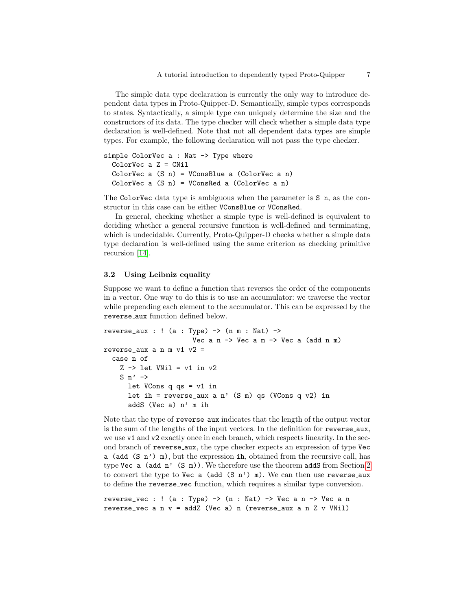The simple data type declaration is currently the only way to introduce dependent data types in Proto-Quipper-D. Semantically, simple types corresponds to states. Syntactically, a simple type can uniquely determine the size and the constructors of its data. The type checker will check whether a simple data type declaration is well-defined. Note that not all dependent data types are simple types. For example, the following declaration will not pass the type checker.

```
simple ColorVec a : Nat -> Type where
  ColorVec a Z = CNil
  ColorVec a (S n) = VConsBlue a (ColorVec a n)
  ColorVec a(S \nvert N) = VConsRed \nvert a (ColorVec \nvert n)
```
The ColorVec data type is ambiguous when the parameter is S n, as the constructor in this case can be either VConsBlue or VConsRed.

In general, checking whether a simple type is well-defined is equivalent to deciding whether a general recursive function is well-defined and terminating, which is undecidable. Currently, Proto-Quipper-D checks whether a simple data type declaration is well-defined using the same criterion as checking primitive recursion [\[14\]](#page-15-17).

#### <span id="page-6-0"></span>3.2 Using Leibniz equality

Suppose we want to define a function that reverses the order of the components in a vector. One way to do this is to use an accumulator: we traverse the vector while prepending each element to the accumulator. This can be expressed by the reverse aux function defined below.

```
reverse_aux : ! (a : Type) \rightarrow (n m : Nat) \rightarrowVec a n \rightarrow Vec a m \rightarrow Vec a (add n m)
reverse_aux a n m v1 v2 =
  case n of
    Z \rightarrow let VNil = v1 in v2
    S n' \rightarrowlet VCons q g s = v1 inlet ih = reverse_aux a n' (S \t m) qs (VCons q v2) in
       addS (Vec a) n' m ih
```
Note that the type of reverse aux indicates that the length of the output vector is the sum of the lengths of the input vectors. In the definition for reverse aux, we use v1 and v2 exactly once in each branch, which respects linearity. In the second branch of reverse aux, the type checker expects an expression of type Vec a (add (S n') m), but the expression ih, obtained from the recursive call, has type Vec a (add n' (S m)). We therefore use the theorem addS from Section [2](#page-1-0) to convert the type to Vec  $a$  (add  $(S \n n')$  m). We can then use reverse\_aux to define the reverse vec function, which requires a similar type conversion.

```
reverse_vec : ! (a : Type) \rightarrow (n : Nat) \rightarrow Vec a n \rightarrow Vec a n
reverse_vec a n v = addZ (Vec a) n (reverse_aux a n Z v VNil)
```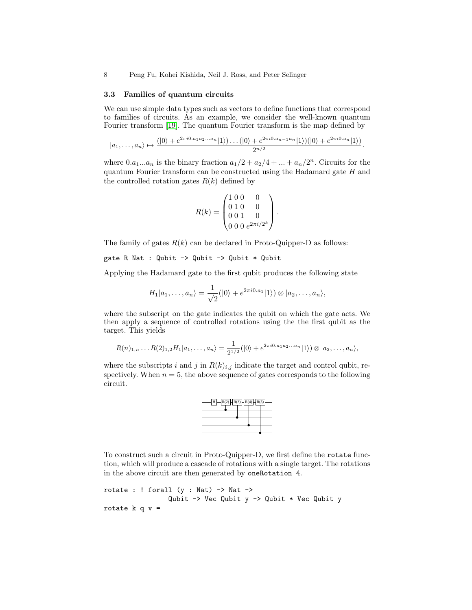#### 3.3 Families of quantum circuits

We can use simple data types such as vectors to define functions that correspond to families of circuits. As an example, we consider the well-known quantum Fourier transform [\[19\]](#page-15-18). The quantum Fourier transform is the map defined by

$$
|a_1,\ldots,a_n\rangle \mapsto \frac{(|0\rangle + e^{2\pi i 0.a_1a_2\ldots a_n}|1\rangle)\ldots(|0\rangle + e^{2\pi i 0.a_{n-1}a_n}|1\rangle)(|0\rangle + e^{2\pi i 0.a_n}|1\rangle)}{2^{n/2}}
$$

.

where  $0.a_1...a_n$  is the binary fraction  $a_1/2 + a_2/4 + ... + a_n/2^n$ . Circuits for the quantum Fourier transform can be constructed using the Hadamard gate H and the controlled rotation gates  $R(k)$  defined by

$$
R(k) = \begin{pmatrix} 1 & 0 & 0 & 0 \\ 0 & 1 & 0 & 0 \\ 0 & 0 & 1 & 0 \\ 0 & 0 & e^{2\pi i/2^k} \end{pmatrix}.
$$

The family of gates  $R(k)$  can be declared in Proto-Quipper-D as follows:

gate R Nat : Qubit -> Qubit -> Qubit \* Qubit

Applying the Hadamard gate to the first qubit produces the following state

$$
H_1|a_1,\ldots,a_n\rangle=\frac{1}{\sqrt{2}}(|0\rangle+e^{2\pi i0.a_1}|1\rangle)\otimes|a_2,\ldots,a_n\rangle,
$$

where the subscript on the gate indicates the qubit on which the gate acts. We then apply a sequence of controlled rotations using the the first qubit as the target. This yields

$$
R(n)_{1,n}\ldots R(2)_{1,2}H_1|a_1,\ldots,a_n\rangle = \frac{1}{2^{1/2}}(|0\rangle + e^{2\pi i 0.a_1a_2\ldots a_n}|1\rangle) \otimes |a_2,\ldots,a_n\rangle,
$$

where the subscripts i and j in  $R(k)_{i,j}$  indicate the target and control qubit, respectively. When  $n = 5$ , the above sequence of gates corresponds to the following circuit.



To construct such a circuit in Proto-Quipper-D, we first define the rotate function, which will produce a cascade of rotations with a single target. The rotations in the above circuit are then generated by oneRotation 4.

```
rotate : ! forall (y : Nat) \rightarrow Nat \rightarrowQubit \rightarrow Vec Qubit y \rightarrow Qubit * Vec Qubit y
rotate k q v =
```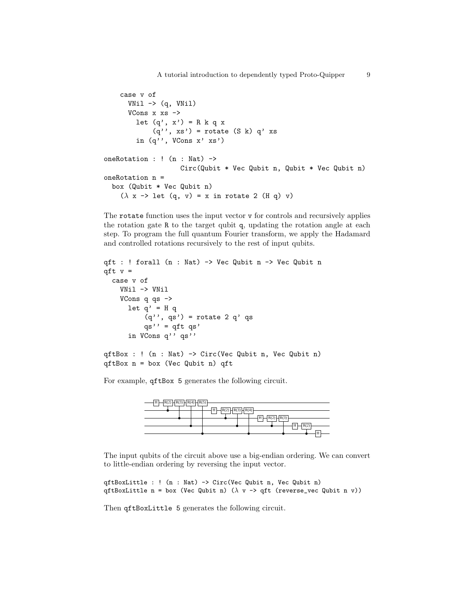```
case v of
      VNil \rightarrow (q, VNil)
      VCons x xs ->
         let (q', x') = R k q x(q', xs') = rotate (S k) q' xs
         in (q'', VCons x' xs')
oneRotation : ! (n : Nat) ->
                      Circ(Qubit * Vec Qubit n, Qubit * Vec Qubit n)
oneRotation n =
  box (Qubit * Vec Qubit n)
    (\lambda x \rightarrow \text{let } (q, v) = x \text{ in rotate } 2 \text{ (H q) } v)
```
The rotate function uses the input vector v for controls and recursively applies the rotation gate R to the target qubit q, updating the rotation angle at each step. To program the full quantum Fourier transform, we apply the Hadamard and controlled rotations recursively to the rest of input qubits.

```
qft : ! forall (n : Nat) -> Vec Qubit n -> Vec Qubit n
qft v =case v of
   VNil -> VNil
   VCons q qs ->
     let q' = H q(q', qs') = rotate 2 q' qs
         qs'' = qft qs'
     in VCons q'' qs''
qftBox : ! (n : Nat) -> Circ(Vec Qubit n, Vec Qubit n)
qftBox n = box (Vec Qubit n) qft
```
For example, qftBox 5 generates the following circuit.

| $R(2)$ $R(3)$ $R(4)$ $R(5)$ |                      |
|-----------------------------|----------------------|
|                             | $R(2)$ $R(3)$ $R(4)$ |
|                             | $R(2)$ $R(3)$<br>피   |
|                             | R(2)                 |

The input qubits of the circuit above use a big-endian ordering. We can convert to little-endian ordering by reversing the input vector.

```
qftBoxLittle : ! (n : Nat) -> Circ(Vec Qubit n, Vec Qubit n)
qftBoxLittle n = box (Vec Qubit n) (\lambda v -> qft (reverse_vec Qubit n v))
```
Then qftBoxLittle 5 generates the following circuit.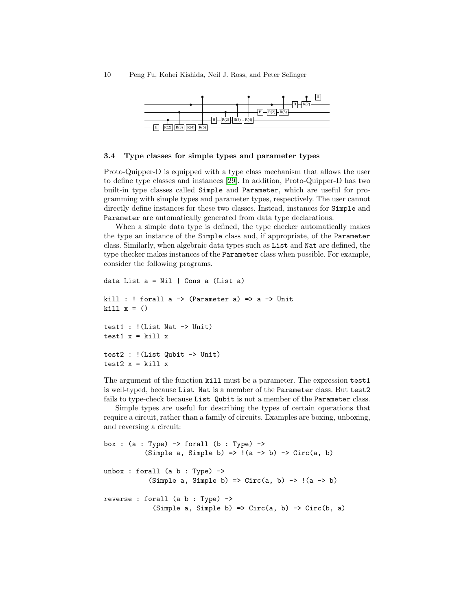10 Peng Fu, Kohei Kishida, Neil J. Ross, and Peter Selinger



#### 3.4 Type classes for simple types and parameter types

Proto-Quipper-D is equipped with a type class mechanism that allows the user to define type classes and instances [\[29\]](#page-16-4). In addition, Proto-Quipper-D has two built-in type classes called Simple and Parameter, which are useful for programming with simple types and parameter types, respectively. The user cannot directly define instances for these two classes. Instead, instances for Simple and Parameter are automatically generated from data type declarations.

When a simple data type is defined, the type checker automatically makes the type an instance of the Simple class and, if appropriate, of the Parameter class. Similarly, when algebraic data types such as List and Nat are defined, the type checker makes instances of the Parameter class when possible. For example, consider the following programs.

```
data List a = Nil | Cons a (List a)
kill : ! forall a \rightarrow (Parameter a) => a \rightarrow Unit
kill x = ()test1 : !(List Nat -> Unit)
test1 x = kill xtest2 : !(List Qubit -> Unit)
test2 x =kill x
```
The argument of the function kill must be a parameter. The expression test1 is well-typed, because List Nat is a member of the Parameter class. But test2 fails to type-check because List Qubit is not a member of the Parameter class.

Simple types are useful for describing the types of certain operations that require a circuit, rather than a family of circuits. Examples are boxing, unboxing, and reversing a circuit:

```
box : (a : Type) \rightarrow forall (b : Type) \rightarrow(Simple a, Simple b) => !(a \rightarrow b) \rightarrow Circ(a, b)unbox : forall (a b : Type) ->
             (Simple a, Simple b) => Circ(a, b) -> !(a \rightarrow b)reverse : forall (a b : Type) ->
              (Simple a, Simple b) => Circ(a, b) -> Circ(b, a)
```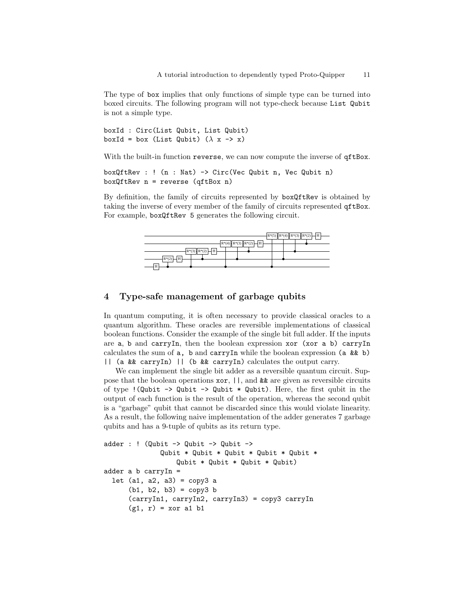The type of box implies that only functions of simple type can be turned into boxed circuits. The following program will not type-check because List Qubit is not a simple type.

boxId : Circ(List Qubit, List Qubit) boxId = box (List Qubit)  $(\lambda x \rightarrow x)$ 

With the built-in function reverse, we can now compute the inverse of qftBox.

boxQftRev : !  $(n : Nat) \rightarrow Circ(Vec Qubit n, Vec Qubit n)$ boxQftRev n = reverse (qftBox n)

By definition, the family of circuits represented by boxQftRev is obtained by taking the inverse of every member of the family of circuits represented qftBox. For example, boxQftRev 5 generates the following circuit.

|                                                                 |                                | $R^*(5)$ $R^*(4)$ $R^*(3)$ $R^*(2)$ $H$ |
|-----------------------------------------------------------------|--------------------------------|-----------------------------------------|
|                                                                 | $R^*(4)$ $R^*(3)$ $R^*(2)$ $H$ |                                         |
| $R^*(3)$ $R^*(2)$ $\rightarrow$ H<br>$+R*(2)^{\dagger}$<br>-Ін' |                                |                                         |
| H                                                               |                                |                                         |

## <span id="page-10-0"></span>4 Type-safe management of garbage qubits

In quantum computing, it is often necessary to provide classical oracles to a quantum algorithm. These oracles are reversible implementations of classical boolean functions. Consider the example of the single bit full adder. If the inputs are a, b and carryIn, then the boolean expression xor (xor a b) carryIn calculates the sum of a, b and carryIn while the boolean expression (a && b) || (a && carryIn) || (b && carryIn) calculates the output carry.

We can implement the single bit adder as a reversible quantum circuit. Suppose that the boolean operations xor, ||, and && are given as reversible circuits of type !(Qubit -> Qubit -> Qubit \* Qubit). Here, the first qubit in the output of each function is the result of the operation, whereas the second qubit is a "garbage" qubit that cannot be discarded since this would violate linearity. As a result, the following naive implementation of the adder generates 7 garbage qubits and has a 9-tuple of qubits as its return type.

```
adder : ! (Qubit \rightarrow Qubit \rightarrow Qubit \rightarrowQubit * Qubit * Qubit * Qubit * Qubit *
                    Qubit * Qubit * Qubit * Qubit)
adder a b carryIn =
  let (a1, a2, a3) = copy3 a
      (b1, b2, b3) = copy3 b(carryIn1, carryIn2, carryIn3) = copy3 carryIn
      (g1, r) = xor a1 b1
```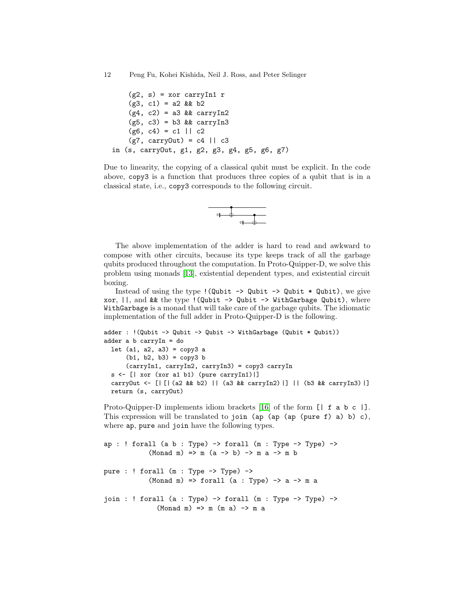```
(g2, s) = xor carryIn1 r
    (g3, c1) = a2 & b2
    (g4, c2) = a3 & carry In2
    (g5, c3) = b3 && carryIn3
    (g6, c4) = c1 || c2(g7, carryOut) = c4 || c3in (s, carryOut, g1, g2, g3, g4, g5, g6, g7)
```
Due to linearity, the copying of a classical qubit must be explicit. In the code above, copy3 is a function that produces three copies of a qubit that is in a classical state, i.e., copy3 corresponds to the following circuit.



The above implementation of the adder is hard to read and awkward to compose with other circuits, because its type keeps track of all the garbage qubits produced throughout the computation. In Proto-Quipper-D, we solve this problem using monads [\[13\]](#page-15-19), existential dependent types, and existential circuit boxing.

Instead of using the type  $!(\text{Qubit} \rightarrow \text{Qubit} \rightarrow \text{Qubit} \ast \text{Qubit})$ , we give xor, ||, and && the type !(Qubit -> Qubit -> WithGarbage Qubit), where WithGarbage is a monad that will take care of the garbage qubits. The idiomatic implementation of the full adder in Proto-Quipper-D is the following.

```
adder : !(Qubit -> Qubit -> Qubit -> WithGarbage (Qubit * Qubit))
adder a b carryIn = do
 let (a1, a2, a3) = copy3 a
      (b1, b2, b3) = copy3 b(carryIn1, carryIn2, carryIn3) = copy3 carryIn
 s <- [| xor (xor a1 b1) (pure carryIn1)|]
 carryOut <- [| [| (a2 && b2) || (a3 && carryIn2) |] || (b3 && carryIn3) |]
 return (s, carryOut)
```
Proto-Quipper-D implements idiom brackets [\[16\]](#page-15-20) of the form [| f a b c |]. This expression will be translated to join (ap (ap ( $p$ ure f) a) b) c), where ap, pure and join have the following types.

ap : ! forall (a b : Type)  $\rightarrow$  forall (m : Type  $\rightarrow$  Type)  $\rightarrow$  $(Monad m) \Rightarrow m (a \Rightarrow b) \Rightarrow m a \Rightarrow m b$ pure : ! forall (m : Type -> Type) -> (Monad m) => forall (a : Type)  $\rightarrow$  a  $\rightarrow$  m a join : ! forall (a : Type) -> forall (m : Type -> Type) ->  $(Monad m) \Rightarrow m (m a) \Rightarrow m a$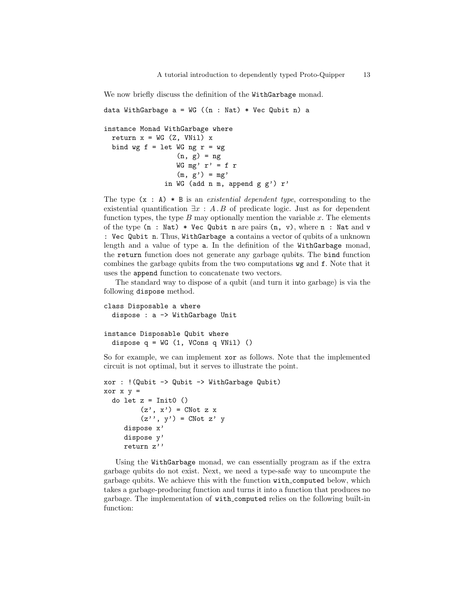We now briefly discuss the definition of the WithGarbage monad.

data WithGarbage  $a = WG ((n : Nat) * Vec Qubit n) a$ instance Monad WithGarbage where return  $x = WG (Z, VMi1) x$ bind wg  $f = \text{let } WG$  ng  $r = wg$  $(n, g) = ng$ WG mg'  $r' = f r$  $(m, g') = mg'$ in WG (add n m, append  $g g'$ ) r'

The type  $(x : A) * B$  is an *existential dependent type*, corresponding to the existential quantification  $\exists x : A \cdot B$  of predicate logic. Just as for dependent function types, the type  $B$  may optionally mention the variable  $x$ . The elements of the type  $(n : Nat) * Vec$  Qubit n are pairs  $(n, v)$ , where n : Nat and v : Vec Qubit n. Thus, WithGarbage a contains a vector of qubits of a unknown length and a value of type a. In the definition of the WithGarbage monad, the return function does not generate any garbage qubits. The bind function combines the garbage qubits from the two computations wg and f. Note that it uses the append function to concatenate two vectors.

The standard way to dispose of a qubit (and turn it into garbage) is via the following dispose method.

```
class Disposable a where
  dispose : a -> WithGarbage Unit
instance Disposable Qubit where
  dispose q = WG(1, VCons q VNil) ()
```
So for example, we can implement xor as follows. Note that the implemented circuit is not optimal, but it serves to illustrate the point.

```
xor : !(Qubit -> Qubit -> WithGarbage Qubit)
xor x \, y =do let z = \text{Init0} ()
          (z', x') = CNot z x
          (z''), y') = CNot z' y
     dispose x'
     dispose y'
     return z''
```
Using the WithGarbage monad, we can essentially program as if the extra garbage qubits do not exist. Next, we need a type-safe way to uncompute the garbage qubits. We achieve this with the function with computed below, which takes a garbage-producing function and turns it into a function that produces no garbage. The implementation of with computed relies on the following built-in function: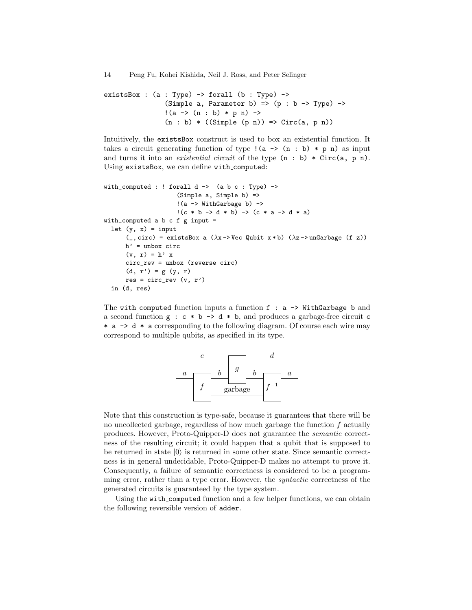```
existsBox : (a : Type) -> forall (b : Type) ->
                  (Simple a, Parameter b) => (p : b \rightarrow Type) ->
                  !(a \rightarrow (n : b) * p n) \rightarrow(n : b) * ((Simple (p n)) \Rightarrow Circ(a, p n))
```
Intuitively, the existsBox construct is used to box an existential function. It takes a circuit generating function of type  $!(a \rightarrow (n : b) * p n)$  as input and turns it into an *existential circuit* of the type  $(n : b) * Circ(a, p n)$ . Using existsBox, we can define with computed:

```
with_computed : ! forall d \rightarrow (a b c : Type) ->
                       (Simple a, Simple b) =>
                       !(a -> WithGarbage b) ->
                       !(c * b -> d * b) -> (c * a -> d * a)
with_computed a b c f g input =
  let (y, x) = input(_, circ) = existsBox a (\lambda x \rightarrow \text{Vec} Qubit x * b) (\lambda z \rightarrow \text{undarbage} (f z))
      h' = unbox circ
       (v, r) = h' xcirc_rev = unbox (reverse circ)
       (d, r') = g (y, r)
      res = circ\_rev (v, r')in (d, res)
```
The with computed function inputs a function  $f : a \rightarrow WithGarbage$  b and a second function  $g : c * b \rightarrow d * b$ , and produces a garbage-free circuit c \* a  $\rightarrow$  d \* a corresponding to the following diagram. Of course each wire may correspond to multiple qubits, as specified in its type.



Note that this construction is type-safe, because it guarantees that there will be no uncollected garbage, regardless of how much garbage the function  $f$  actually produces. However, Proto-Quipper-D does not guarantee the semantic correctness of the resulting circuit; it could happen that a qubit that is supposed to be returned in state  $|0\rangle$  is returned in some other state. Since semantic correctness is in general undecidable, Proto-Quipper-D makes no attempt to prove it. Consequently, a failure of semantic correctness is considered to be a programming error, rather than a type error. However, the syntactic correctness of the generated circuits is guaranteed by the type system.

Using the with computed function and a few helper functions, we can obtain the following reversible version of adder.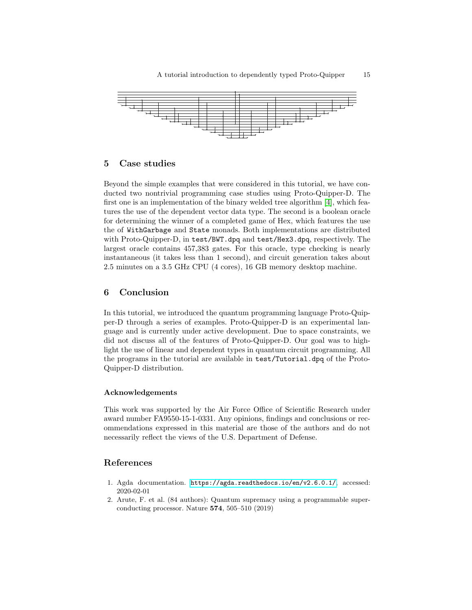

## 5 Case studies

Beyond the simple examples that were considered in this tutorial, we have conducted two nontrivial programming case studies using Proto-Quipper-D. The first one is an implementation of the binary welded tree algorithm [\[4\]](#page-15-21), which features the use of the dependent vector data type. The second is a boolean oracle for determining the winner of a completed game of Hex, which features the use the of WithGarbage and State monads. Both implementations are distributed with Proto-Quipper-D, in test/BWT.dpq and test/Hex3.dpq, respectively. The largest oracle contains 457,383 gates. For this oracle, type checking is nearly instantaneous (it takes less than 1 second), and circuit generation takes about 2.5 minutes on a 3.5 GHz CPU (4 cores), 16 GB memory desktop machine.

# 6 Conclusion

In this tutorial, we introduced the quantum programming language Proto-Quipper-D through a series of examples. Proto-Quipper-D is an experimental language and is currently under active development. Due to space constraints, we did not discuss all of the features of Proto-Quipper-D. Our goal was to highlight the use of linear and dependent types in quantum circuit programming. All the programs in the tutorial are available in test/Tutorial.dpq of the Proto-Quipper-D distribution.

#### Acknowledgements

This work was supported by the Air Force Office of Scientific Research under award number FA9550-15-1-0331. Any opinions, findings and conclusions or recommendations expressed in this material are those of the authors and do not necessarily reflect the views of the U.S. Department of Defense.

## References

- <span id="page-14-1"></span>1. Agda documentation. <https://agda.readthedocs.io/en/v2.6.0.1/>, accessed: 2020-02-01
- <span id="page-14-0"></span>2. Arute, F. et al. (84 authors): Quantum supremacy using a programmable superconducting processor. Nature 574, 505–510 (2019)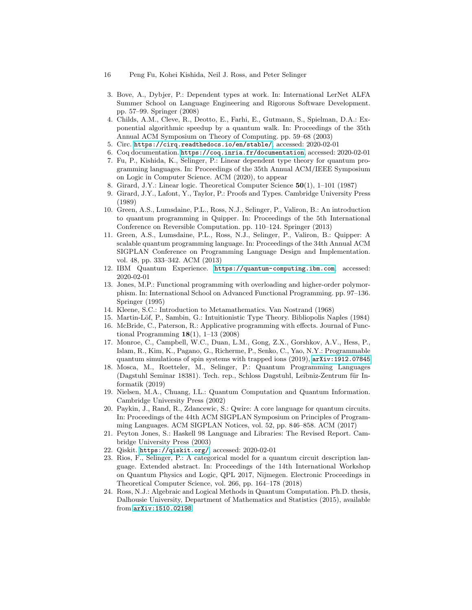- 16 Peng Fu, Kohei Kishida, Neil J. Ross, and Peter Selinger
- <span id="page-15-12"></span>3. Bove, A., Dybjer, P.: Dependent types at work. In: International LerNet ALFA Summer School on Language Engineering and Rigorous Software Development. pp. 57–99. Springer (2008)
- <span id="page-15-21"></span>4. Childs, A.M., Cleve, R., Deotto, E., Farhi, E., Gutmann, S., Spielman, D.A.: Exponential algorithmic speedup by a quantum walk. In: Proceedings of the 35th Annual ACM Symposium on Theory of Computing. pp. 59–68 (2003)
- <span id="page-15-6"></span>5. Circ. <https://cirq.readthedocs.io/en/stable/>, accessed: 2020-02-01
- <span id="page-15-13"></span>6. Coq documentation. <https://coq.inria.fr/documentation>, accessed: 2020-02-01
- <span id="page-15-14"></span>7. Fu, P., Kishida, K., Selinger, P.: Linear dependent type theory for quantum programming languages. In: Proceedings of the 35th Annual ACM/IEEE Symposium on Logic in Computer Science. ACM (2020), to appear
- <span id="page-15-7"></span>8. Girard, J.Y.: Linear logic. Theoretical Computer Science 50(1), 1–101 (1987)
- <span id="page-15-16"></span>9. Girard, J.Y., Lafont, Y., Taylor, P.: Proofs and Types. Cambridge University Press (1989)
- <span id="page-15-3"></span>10. Green, A.S., Lumsdaine, P.L., Ross, N.J., Selinger, P., Valiron, B.: An introduction to quantum programming in Quipper. In: Proceedings of the 5th International Conference on Reversible Computation. pp. 110–124. Springer (2013)
- <span id="page-15-4"></span>11. Green, A.S., Lumsdaine, P.L., Ross, N.J., Selinger, P., Valiron, B.: Quipper: A scalable quantum programming language. In: Proceedings of the 34th Annual ACM SIGPLAN Conference on Programming Language Design and Implementation. vol. 48, pp. 333–342. ACM (2013)
- <span id="page-15-0"></span>12. IBM Quantum Experience. <https://quantum-computing.ibm.com>, accessed: 2020-02-01
- <span id="page-15-19"></span>13. Jones, M.P.: Functional programming with overloading and higher-order polymorphism. In: International School on Advanced Functional Programming. pp. 97–136. Springer (1995)
- <span id="page-15-17"></span>14. Kleene, S.C.: Introduction to Metamathematics. Van Nostrand (1968)
- <span id="page-15-11"></span>15. Martin-Löf, P., Sambin, G.: Intuitionistic Type Theory. Bibliopolis Naples (1984)
- <span id="page-15-20"></span>16. McBride, C., Paterson, R.: Applicative programming with effects. Journal of Functional Programming  $18(1)$ , 1-13 (2008)
- <span id="page-15-1"></span>17. Monroe, C., Campbell, W.C., Duan, L.M., Gong, Z.X., Gorshkov, A.V., Hess, P., Islam, R., Kim, K., Pagano, G., Richerme, P., Senko, C., Yao, N.Y.: Programmable quantum simulations of spin systems with trapped ions (2019), [arXiv:1912.07845](http://arxiv.org/abs/1912.07845)
- <span id="page-15-2"></span>18. Mosca, M., Roetteler, M., Selinger, P.: Quantum Programming Languages (Dagstuhl Seminar 18381). Tech. rep., Schloss Dagstuhl, Leibniz-Zentrum für Informatik (2019)
- <span id="page-15-18"></span>19. Nielsen, M.A., Chuang, I.L.: Quantum Computation and Quantum Information. Cambridge University Press (2002)
- <span id="page-15-10"></span>20. Paykin, J., Rand, R., Zdancewic, S.: Qwire: A core language for quantum circuits. In: Proceedings of the 44th ACM SIGPLAN Symposium on Principles of Programming Languages. ACM SIGPLAN Notices, vol. 52, pp. 846–858. ACM (2017)
- <span id="page-15-15"></span>21. Peyton Jones, S.: Haskell 98 Language and Libraries: The Revised Report. Cambridge University Press (2003)
- <span id="page-15-5"></span>22. Qiskit. <https://qiskit.org/>, accessed: 2020-02-01
- <span id="page-15-9"></span>23. Rios, F., Selinger, P.: A categorical model for a quantum circuit description language. Extended abstract. In: Proceedings of the 14th International Workshop on Quantum Physics and Logic, QPL 2017, Nijmegen. Electronic Proceedings in Theoretical Computer Science, vol. 266, pp. 164–178 (2018)
- <span id="page-15-8"></span>24. Ross, N.J.: Algebraic and Logical Methods in Quantum Computation. Ph.D. thesis, Dalhousie University, Department of Mathematics and Statistics (2015), available from [arXiv:1510.02198](http://arxiv.org/abs/1510.02198)